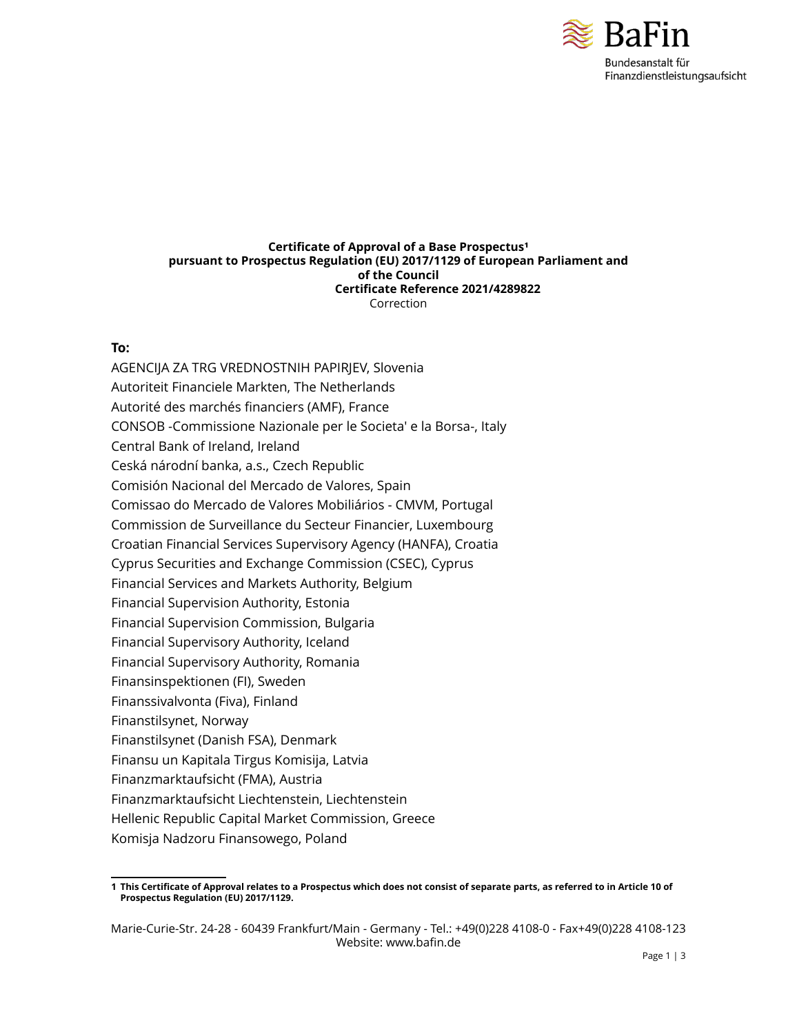

#### **Certificate of Approval of a Base Prospectus<sup>1</sup> pursuant to Prospectus Regulation (EU) 2017/1129 of European Parliament and of the Council Certificate Reference 2021/4289822** Correction

#### **To:**

AGENCIJA ZA TRG VREDNOSTNIH PAPIRJEV, Slovenia Autoriteit Financiele Markten, The Netherlands Autorité des marchés financiers (AMF), France CONSOB -Commissione Nazionale per le Societa' e la Borsa-, Italy Central Bank of Ireland, Ireland Ceská národní banka, a.s., Czech Republic Comisión Nacional del Mercado de Valores, Spain Comissao do Mercado de Valores Mobiliários - CMVM, Portugal Commission de Surveillance du Secteur Financier, Luxembourg Croatian Financial Services Supervisory Agency (HANFA), Croatia Cyprus Securities and Exchange Commission (CSEC), Cyprus Financial Services and Markets Authority, Belgium Financial Supervision Authority, Estonia Financial Supervision Commission, Bulgaria Financial Supervisory Authority, Iceland Financial Supervisory Authority, Romania Finansinspektionen (FI), Sweden Finanssivalvonta (Fiva), Finland Finanstilsynet, Norway Finanstilsynet (Danish FSA), Denmark Finansu un Kapitala Tirgus Komisija, Latvia Finanzmarktaufsicht (FMA), Austria Finanzmarktaufsicht Liechtenstein, Liechtenstein Hellenic Republic Capital Market Commission, Greece Komisja Nadzoru Finansowego, Poland

<sup>1</sup> This Certificate of Approval relates to a Prospectus which does not consist of separate parts, as referred to in Article 10 of **Prospectus Regulation (EU) 2017/1129.**

Marie-Curie-Str. 24-28 - 60439 Frankfurt/Main - Germany - Tel.: +49(0)228 4108-0 - Fax+49(0)228 4108-123 Website: www.bafin.de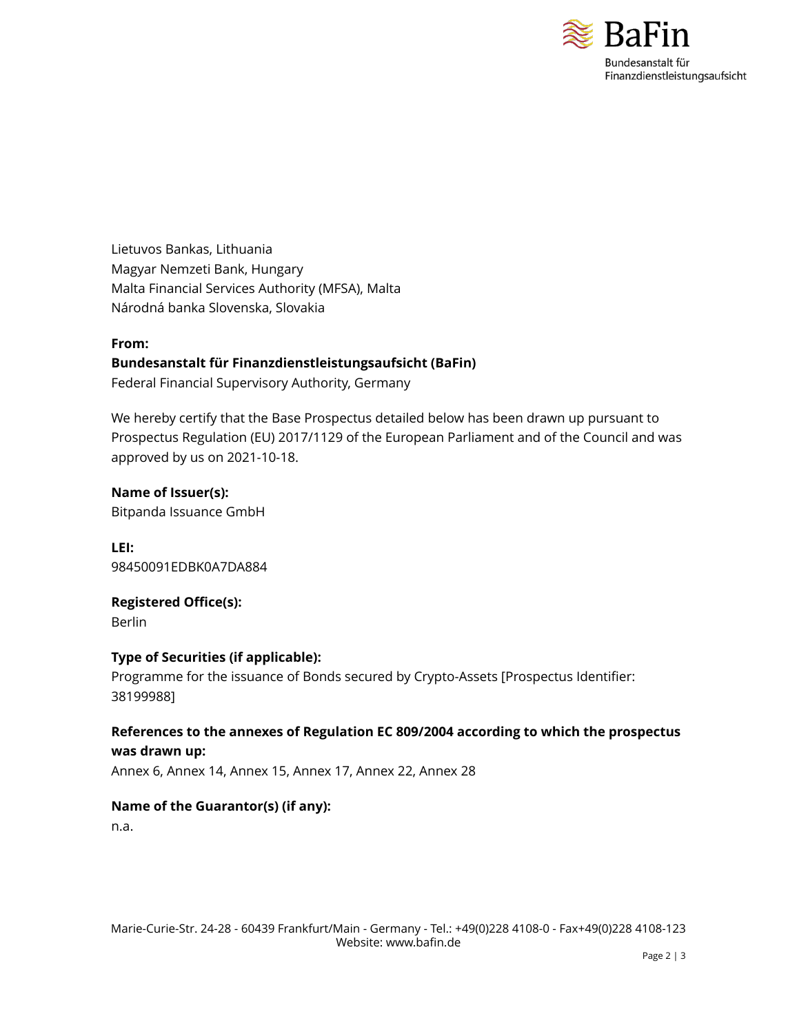

Lietuvos Bankas, Lithuania Magyar Nemzeti Bank, Hungary Malta Financial Services Authority (MFSA), Malta Národná banka Slovenska, Slovakia

#### **From:**

## **Bundesanstalt für Finanzdienstleistungsaufsicht (BaFin)**

Federal Financial Supervisory Authority, Germany

We hereby certify that the Base Prospectus detailed below has been drawn up pursuant to Prospectus Regulation (EU) 2017/1129 of the European Parliament and of the Council and was approved by us on 2021-10-18.

**Name of Issuer(s):** Bitpanda Issuance GmbH

**LEI:** 98450091EDBK0A7DA884

**Registered Office(s):** Berlin

#### **Type of Securities (if applicable):**

Programme for the issuance of Bonds secured by Crypto-Assets [Prospectus Identifier: 38199988]

# **References to the annexes of Regulation EC 809/2004 according to which the prospectus was drawn up:**

Annex 6, Annex 14, Annex 15, Annex 17, Annex 22, Annex 28

#### **Name of the Guarantor(s) (if any):**

n.a.